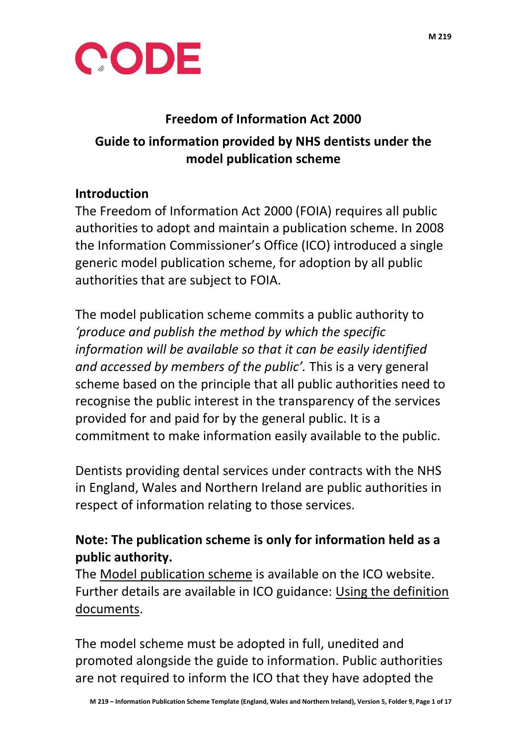



#### **Freedom of Information Act 2000**

## **Guide to information provided by NHS dentists under the model publication scheme**

### **Introduction**

The Freedom of Information Act 2000 (FOIA) requires all public authorities to adopt and maintain a publication scheme. In 2008 the Information Commissioner's Office (ICO) introduced a single generic model publication scheme, for adoption by all public authorities that are subject to FOIA.

The model publication scheme commits a public authority to *'produce and publish the method by which the specific information will be available so that it can be easily identified and accessed by members of the public'.* This is a very general scheme based on the principle that all public authorities need to recognise the public interest in the transparency of the services provided for and paid for by the general public. It is a commitment to make information easily available to the public.

Dentists providing dental services under contracts with the NHS in England, Wales and Northern Ireland are public authorities in respect of information relating to those services.

## **Note: The publication scheme is only for information held as a public authority.**

The [Model publication scheme](http://ico.org.uk/for_organisations/guidance_index/~/media/documents/library/Freedom_of_Information/Detailed_specialist_guides/model-publication-scheme.pdf) is available on the ICO website. Further details are available in ICO guidance: [Using the definition](http://ico.org.uk/for_organisations/guidance_index/~/media/documents/library/Freedom_of_Information/Practical_application/usingthedefinitiondocuments.ashx)  [documents.](http://ico.org.uk/for_organisations/guidance_index/~/media/documents/library/Freedom_of_Information/Practical_application/usingthedefinitiondocuments.ashx)

The model scheme must be adopted in full, unedited and promoted alongside the guide to information. Public authorities are not required to inform the ICO that they have adopted the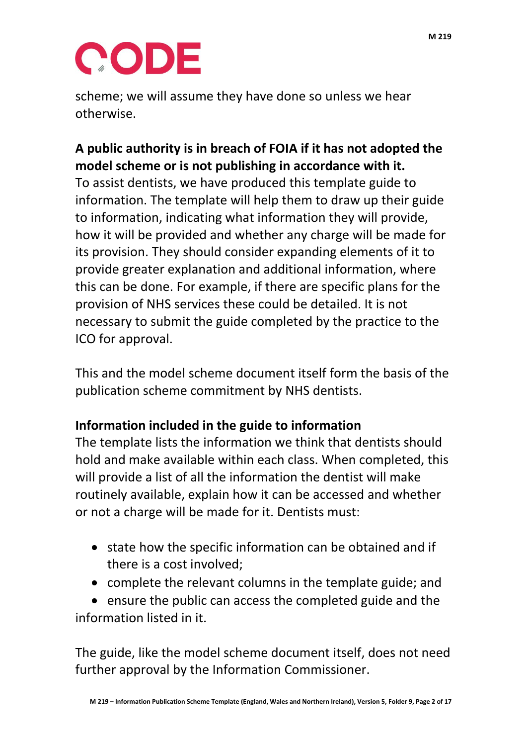

scheme; we will assume they have done so unless we hear otherwise.

### **A public authority is in breach of FOIA if it has not adopted the model scheme or is not publishing in accordance with it.**

To assist dentists, we have produced this template guide to information. The template will help them to draw up their guide to information, indicating what information they will provide, how it will be provided and whether any charge will be made for its provision. They should consider expanding elements of it to provide greater explanation and additional information, where this can be done. For example, if there are specific plans for the provision of NHS services these could be detailed. It is not necessary to submit the guide completed by the practice to the ICO for approval.

This and the model scheme document itself form the basis of the publication scheme commitment by NHS dentists.

#### **Information included in the guide to information**

The template lists the information we think that dentists should hold and make available within each class. When completed, this will provide a list of all the information the dentist will make routinely available, explain how it can be accessed and whether or not a charge will be made for it. Dentists must:

- state how the specific information can be obtained and if there is a cost involved;
- complete the relevant columns in the template guide; and

 ensure the public can access the completed guide and the information listed in it.

The guide, like the model scheme document itself, does not need further approval by the Information Commissioner.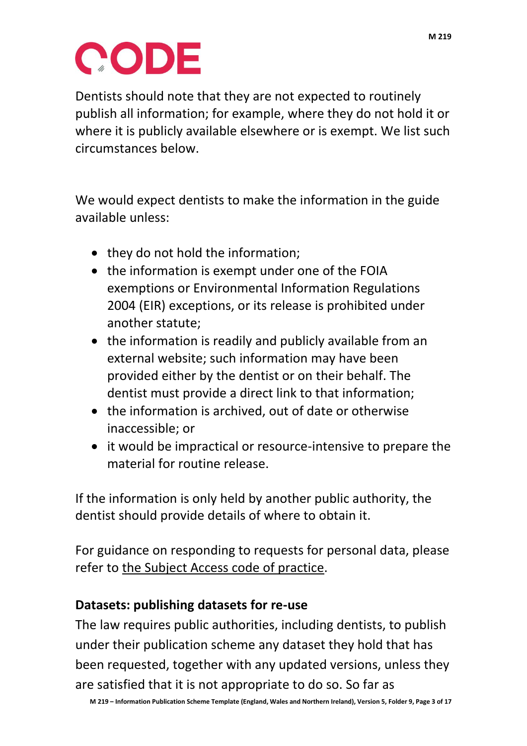

Dentists should note that they are not expected to routinely publish all information; for example, where they do not hold it or where it is publicly available elsewhere or is exempt. We list such circumstances below.

We would expect dentists to make the information in the guide available unless:

- they do not hold the information;
- the information is exempt under one of the FOIA exemptions or Environmental Information Regulations 2004 (EIR) exceptions, or its release is prohibited under another statute;
- the information is readily and publicly available from an external website; such information may have been provided either by the dentist or on their behalf. The dentist must provide a direct link to that information;
- the information is archived, out of date or otherwise inaccessible; or
- it would be impractical or resource-intensive to prepare the material for routine release.

If the information is only held by another public authority, the dentist should provide details of where to obtain it.

For guidance on responding to requests for personal data, please refer to [the Subject Access code of practice.](http://ico.org.uk/for_organisations/data_protection/~/media/documents/library/Data_Protection/Detailed_specialist_guides/subject-access-code-of-practice.PDF)

#### **Datasets: publishing datasets for re-use**

The law requires public authorities, including dentists, to publish under their publication scheme any dataset they hold that has been requested, together with any updated versions, unless they are satisfied that it is not appropriate to do so. So far as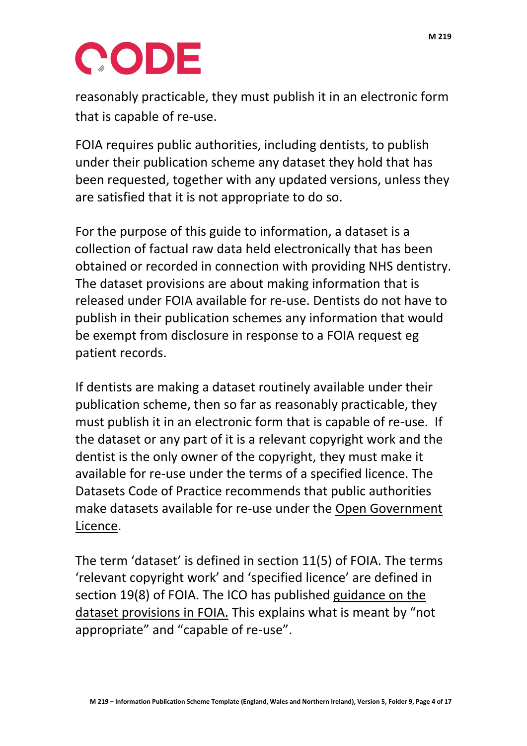# CODE

reasonably practicable, they must publish it in an electronic form that is capable of re-use.

FOIA requires public authorities, including dentists, to publish under their publication scheme any dataset they hold that has been requested, together with any updated versions, unless they are satisfied that it is not appropriate to do so.

For the purpose of this guide to information, a dataset is a collection of factual raw data held electronically that has been obtained or recorded in connection with providing NHS dentistry. The dataset provisions are about making information that is released under FOIA available for re-use. Dentists do not have to publish in their publication schemes any information that would be exempt from disclosure in response to a FOIA request eg patient records.

If dentists are making a dataset routinely available under their publication scheme, then so far as reasonably practicable, they must publish it in an electronic form that is capable of re-use. If the dataset or any part of it is a relevant copyright work and the dentist is the only owner of the copyright, they must make it available for re-use under the terms of a specified licence. The Datasets Code of Practice recommends that public authorities make datasets available for re-use under the [Open Government](http://www.nationalarchives.gov.uk/doc/open-government-licence/version/2/)  [Licence.](http://www.nationalarchives.gov.uk/doc/open-government-licence/version/2/)

The term 'dataset' is defined in section 11(5) of FOIA. The terms 'relevant copyright work' and 'specified licence' are defined in section 19(8) of FOIA. The ICO has published [guidance on the](http://www.ico.org.uk/for_organisations/guidance_index/~/media/documents/library/Freedom_of_Information/Detailed_specialist_guides/datasets-foi-guidance.pdf)  [dataset provisions in FOIA.](http://www.ico.org.uk/for_organisations/guidance_index/~/media/documents/library/Freedom_of_Information/Detailed_specialist_guides/datasets-foi-guidance.pdf) This explains what is meant by "not appropriate" and "capable of re-use".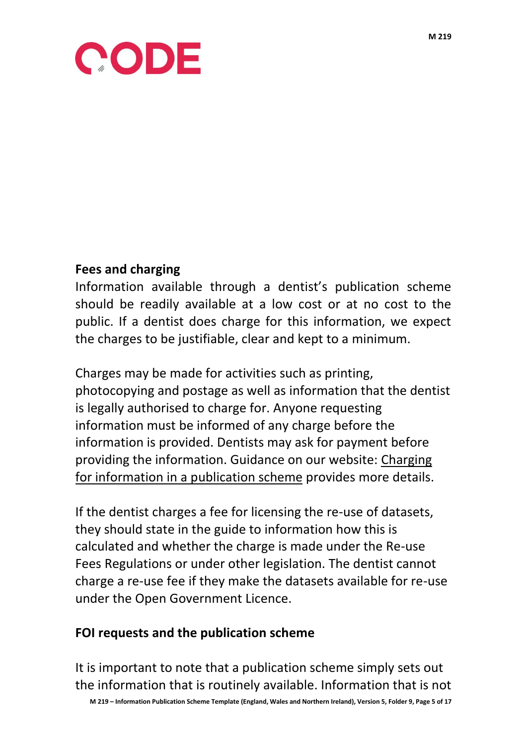

#### **Fees and charging**

Information available through a dentist's publication scheme should be readily available at a low cost or at no cost to the public. If a dentist does charge for this information, we expect the charges to be justifiable, clear and kept to a minimum.

Charges may be made for activities such as printing, photocopying and postage as well as information that the dentist is legally authorised to charge for. Anyone requesting information must be informed of any charge before the information is provided. Dentists may ask for payment before providing the information. Guidance on our website: [Charging](https://ico.org.uk/media/for-organisations/documents/1158/can_i_charge_for_information.pdf)  [for information in a publication scheme](https://ico.org.uk/media/for-organisations/documents/1158/can_i_charge_for_information.pdf) provides more details.

If the dentist charges a fee for licensing the re-use of datasets, they should state in the guide to information how this is calculated and whether the charge is made under the Re-use Fees Regulations or under other legislation. The dentist cannot charge a re-use fee if they make the datasets available for re-use under the Open Government Licence.

#### **FOI requests and the publication scheme**

It is important to note that a publication scheme simply sets out the information that is routinely available. Information that is not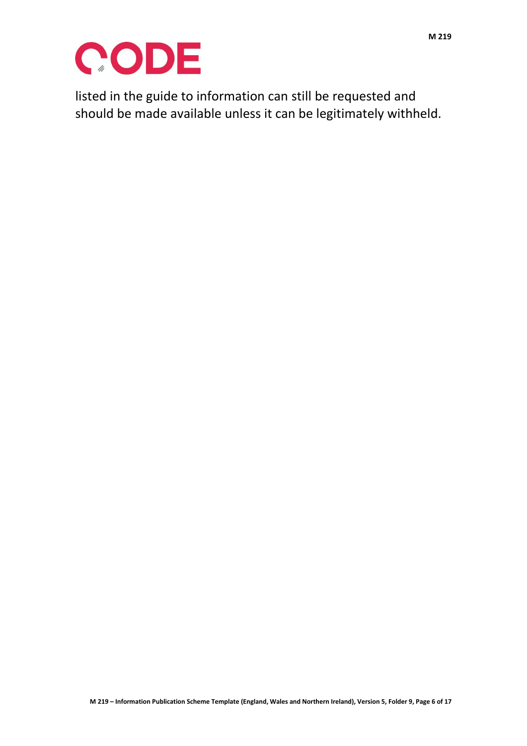

listed in the guide to information can still be requested and should be made available unless it can be legitimately withheld.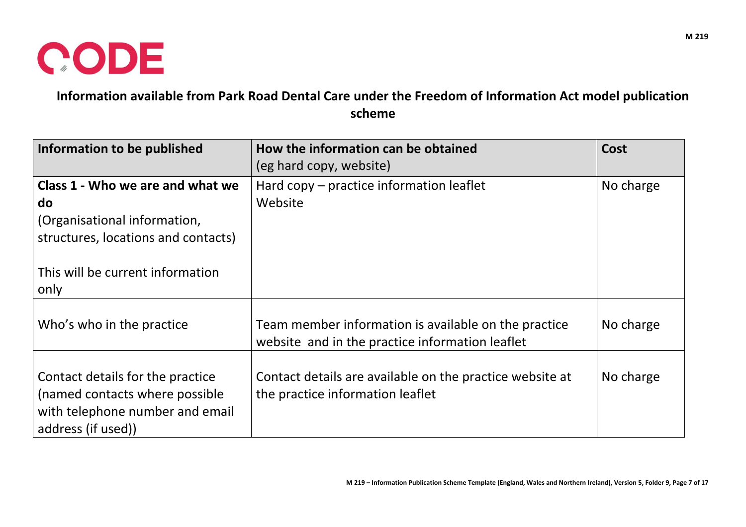

**Information available from Park Road Dental Care under the Freedom of Information Act model publication scheme**

| Information to be published                                                                                                 | How the information can be obtained<br>(eg hard copy, website)                                          | Cost      |
|-----------------------------------------------------------------------------------------------------------------------------|---------------------------------------------------------------------------------------------------------|-----------|
| Class 1 - Who we are and what we<br>do<br>(Organisational information,<br>structures, locations and contacts)               | Hard copy - practice information leaflet<br>Website                                                     | No charge |
| This will be current information<br>only                                                                                    |                                                                                                         |           |
| Who's who in the practice                                                                                                   | Team member information is available on the practice<br>website and in the practice information leaflet | No charge |
| Contact details for the practice<br>(named contacts where possible<br>with telephone number and email<br>address (if used)) | Contact details are available on the practice website at<br>the practice information leaflet            | No charge |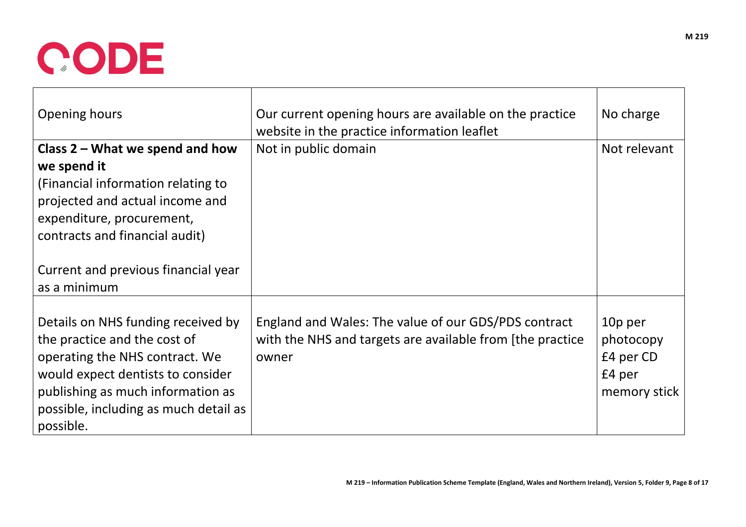

| Opening hours                                                                                                                                                                                                                        | Our current opening hours are available on the practice<br>website in the practice information leaflet                     | No charge                                                   |
|--------------------------------------------------------------------------------------------------------------------------------------------------------------------------------------------------------------------------------------|----------------------------------------------------------------------------------------------------------------------------|-------------------------------------------------------------|
| Class $2$ – What we spend and how<br>we spend it<br>(Financial information relating to<br>projected and actual income and                                                                                                            | Not in public domain                                                                                                       | Not relevant                                                |
| expenditure, procurement,<br>contracts and financial audit)<br>Current and previous financial year<br>as a minimum                                                                                                                   |                                                                                                                            |                                                             |
| Details on NHS funding received by<br>the practice and the cost of<br>operating the NHS contract. We<br>would expect dentists to consider<br>publishing as much information as<br>possible, including as much detail as<br>possible. | England and Wales: The value of our GDS/PDS contract<br>with the NHS and targets are available from [the practice<br>owner | 10p per<br>photocopy<br>£4 per CD<br>£4 per<br>memory stick |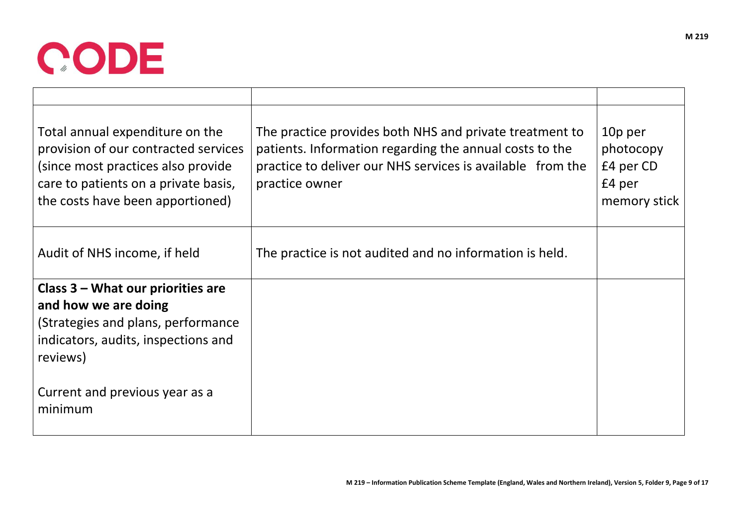

| Total annual expenditure on the<br>provision of our contracted services<br>(since most practices also provide)<br>care to patients on a private basis,<br>the costs have been apportioned) | The practice provides both NHS and private treatment to<br>patients. Information regarding the annual costs to the<br>practice to deliver our NHS services is available from the<br>practice owner | 10p per<br>photocopy<br>£4 per CD<br>£4 per<br>memory stick |
|--------------------------------------------------------------------------------------------------------------------------------------------------------------------------------------------|----------------------------------------------------------------------------------------------------------------------------------------------------------------------------------------------------|-------------------------------------------------------------|
| Audit of NHS income, if held                                                                                                                                                               | The practice is not audited and no information is held.                                                                                                                                            |                                                             |
| Class 3 – What our priorities are<br>and how we are doing<br>(Strategies and plans, performance<br>indicators, audits, inspections and<br>reviews)                                         |                                                                                                                                                                                                    |                                                             |
| Current and previous year as a<br>minimum                                                                                                                                                  |                                                                                                                                                                                                    |                                                             |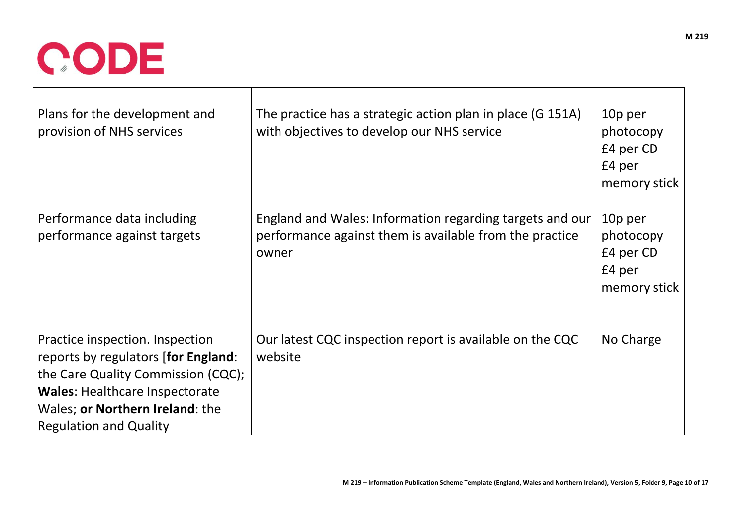

| Plans for the development and<br>provision of NHS services                                                                                                                                                                | The practice has a strategic action plan in place (G 151A)<br>with objectives to develop our NHS service                     | 10p per<br>photocopy<br>£4 per CD<br>£4 per<br>memory stick |
|---------------------------------------------------------------------------------------------------------------------------------------------------------------------------------------------------------------------------|------------------------------------------------------------------------------------------------------------------------------|-------------------------------------------------------------|
| Performance data including<br>performance against targets                                                                                                                                                                 | England and Wales: Information regarding targets and our<br>performance against them is available from the practice<br>owner | 10p per<br>photocopy<br>£4 per CD<br>£4 per<br>memory stick |
| Practice inspection. Inspection<br>reports by regulators [for England:<br>the Care Quality Commission (CQC);<br><b>Wales: Healthcare Inspectorate</b><br>Wales; or Northern Ireland: the<br><b>Regulation and Quality</b> | Our latest CQC inspection report is available on the CQC<br>website                                                          | No Charge                                                   |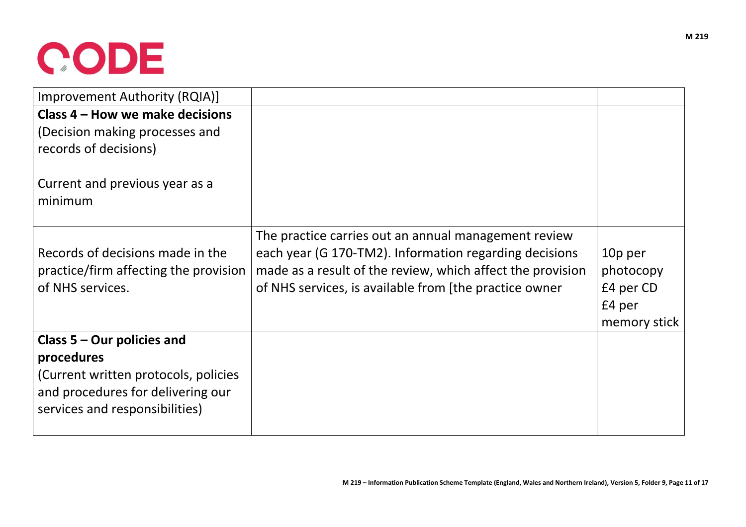## CODE

| Improvement Authority (RQIA)]             |                                                            |              |
|-------------------------------------------|------------------------------------------------------------|--------------|
| Class 4 – How we make decisions           |                                                            |              |
| (Decision making processes and            |                                                            |              |
| records of decisions)                     |                                                            |              |
| Current and previous year as a<br>minimum |                                                            |              |
|                                           | The practice carries out an annual management review       |              |
| Records of decisions made in the          | each year (G 170-TM2). Information regarding decisions     | 10p per      |
| practice/firm affecting the provision     | made as a result of the review, which affect the provision | photocopy    |
| of NHS services.                          | of NHS services, is available from [the practice owner     | £4 per CD    |
|                                           |                                                            | £4 per       |
|                                           |                                                            | memory stick |
| Class $5 -$ Our policies and              |                                                            |              |
| procedures                                |                                                            |              |
| (Current written protocols, policies      |                                                            |              |
| and procedures for delivering our         |                                                            |              |
| services and responsibilities)            |                                                            |              |
|                                           |                                                            |              |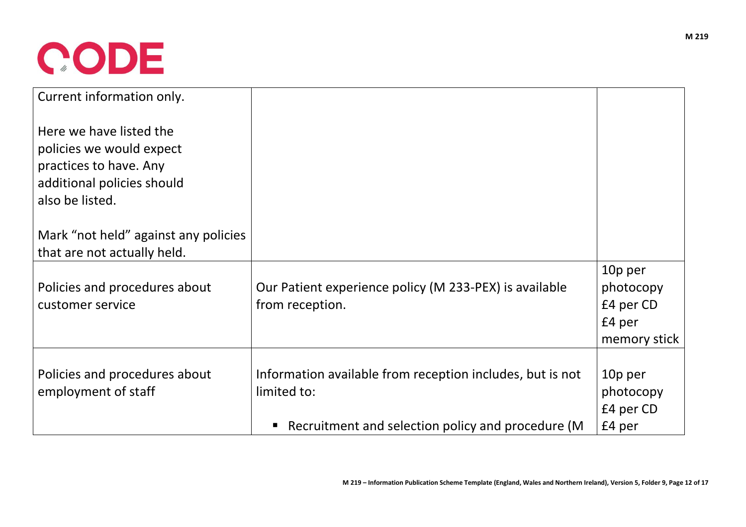

| Current information only.            |                                                           |              |
|--------------------------------------|-----------------------------------------------------------|--------------|
| Here we have listed the              |                                                           |              |
| policies we would expect             |                                                           |              |
| practices to have. Any               |                                                           |              |
| additional policies should           |                                                           |              |
| also be listed.                      |                                                           |              |
| Mark "not held" against any policies |                                                           |              |
| that are not actually held.          |                                                           |              |
|                                      |                                                           | 10p per      |
| Policies and procedures about        | Our Patient experience policy (M 233-PEX) is available    | photocopy    |
| customer service                     | from reception.                                           | £4 per CD    |
|                                      |                                                           | £4 per       |
|                                      |                                                           | memory stick |
|                                      |                                                           |              |
| Policies and procedures about        | Information available from reception includes, but is not | 10p per      |
| employment of staff                  | limited to:                                               | photocopy    |
|                                      |                                                           | £4 per CD    |
|                                      | Recruitment and selection policy and procedure (M         | £4 per       |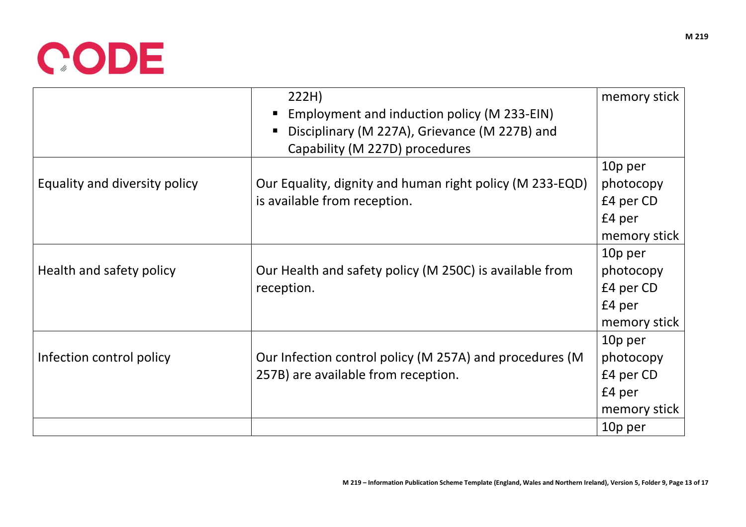

|                               | 222H)                                                    | memory stick |
|-------------------------------|----------------------------------------------------------|--------------|
|                               | Employment and induction policy (M 233-EIN)              |              |
|                               | Disciplinary (M 227A), Grievance (M 227B) and            |              |
|                               | Capability (M 227D) procedures                           |              |
|                               |                                                          | 10p per      |
| Equality and diversity policy | Our Equality, dignity and human right policy (M 233-EQD) | photocopy    |
|                               | is available from reception.                             | £4 per CD    |
|                               |                                                          | £4 per       |
|                               |                                                          | memory stick |
|                               |                                                          | 10p per      |
| Health and safety policy      | Our Health and safety policy (M 250C) is available from  | photocopy    |
|                               | reception.                                               | £4 per CD    |
|                               |                                                          | £4 per       |
|                               |                                                          | memory stick |
|                               |                                                          | 10p per      |
| Infection control policy      | Our Infection control policy (M 257A) and procedures (M  | photocopy    |
|                               | 257B) are available from reception.                      | £4 per CD    |
|                               |                                                          | £4 per       |
|                               |                                                          | memory stick |
|                               |                                                          | 10p per      |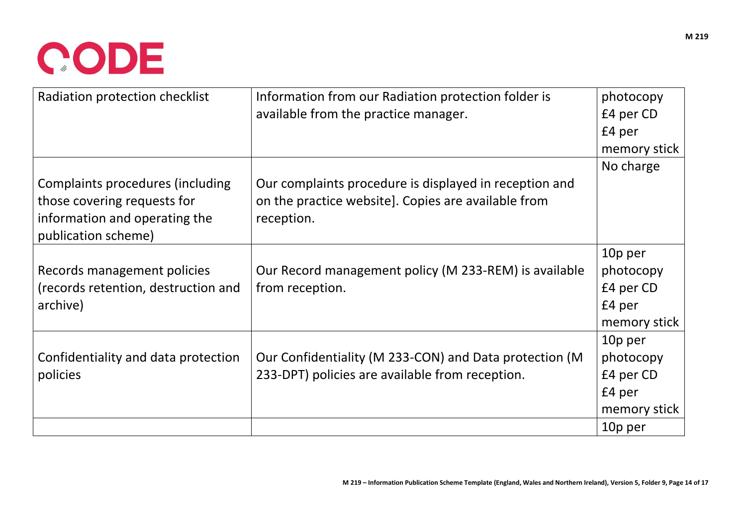

| Radiation protection checklist      | Information from our Radiation protection folder is    | photocopy    |
|-------------------------------------|--------------------------------------------------------|--------------|
|                                     | available from the practice manager.                   | £4 per CD    |
|                                     |                                                        | £4 per       |
|                                     |                                                        | memory stick |
|                                     |                                                        | No charge    |
| Complaints procedures (including    | Our complaints procedure is displayed in reception and |              |
| those covering requests for         | on the practice website]. Copies are available from    |              |
| information and operating the       | reception.                                             |              |
| publication scheme)                 |                                                        |              |
|                                     |                                                        | 10p per      |
| Records management policies         | Our Record management policy (M 233-REM) is available  | photocopy    |
| (records retention, destruction and | from reception.                                        | £4 per CD    |
| archive)                            |                                                        | £4 per       |
|                                     |                                                        | memory stick |
|                                     |                                                        | 10p per      |
| Confidentiality and data protection | Our Confidentiality (M 233-CON) and Data protection (M | photocopy    |
| policies                            | 233-DPT) policies are available from reception.        | £4 per CD    |
|                                     |                                                        | £4 per       |
|                                     |                                                        | memory stick |
|                                     |                                                        | 10p per      |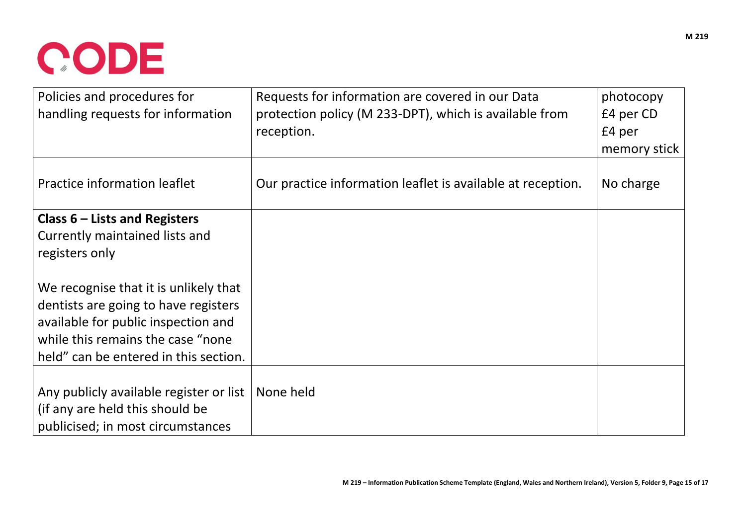

| Policies and procedures for<br>handling requests for information | Requests for information are covered in our Data<br>protection policy (M 233-DPT), which is available from | photocopy<br>£4 per CD |
|------------------------------------------------------------------|------------------------------------------------------------------------------------------------------------|------------------------|
|                                                                  | reception.                                                                                                 | £4 per                 |
|                                                                  |                                                                                                            | memory stick           |
| <b>Practice information leaflet</b>                              | Our practice information leaflet is available at reception.                                                | No charge              |
| Class $6$ – Lists and Registers                                  |                                                                                                            |                        |
| Currently maintained lists and                                   |                                                                                                            |                        |
| registers only                                                   |                                                                                                            |                        |
| We recognise that it is unlikely that                            |                                                                                                            |                        |
| dentists are going to have registers                             |                                                                                                            |                        |
| available for public inspection and                              |                                                                                                            |                        |
| while this remains the case "none                                |                                                                                                            |                        |
| held" can be entered in this section.                            |                                                                                                            |                        |
|                                                                  |                                                                                                            |                        |
| Any publicly available register or list                          | None held                                                                                                  |                        |
| (if any are held this should be                                  |                                                                                                            |                        |
| publicised; in most circumstances                                |                                                                                                            |                        |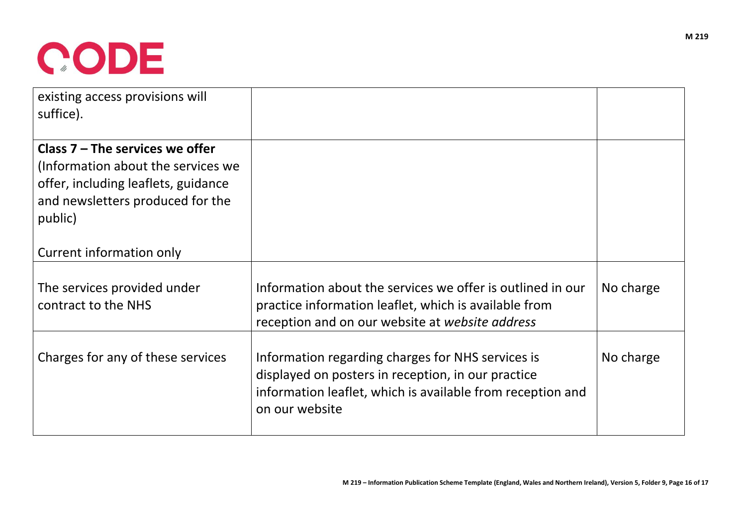

| existing access provisions will<br>suffice).                                                                                                                  |                                                                                                                                                                                         |           |
|---------------------------------------------------------------------------------------------------------------------------------------------------------------|-----------------------------------------------------------------------------------------------------------------------------------------------------------------------------------------|-----------|
| Class $7$ – The services we offer<br>(Information about the services we<br>offer, including leaflets, guidance<br>and newsletters produced for the<br>public) |                                                                                                                                                                                         |           |
| Current information only                                                                                                                                      |                                                                                                                                                                                         |           |
| The services provided under<br>contract to the NHS                                                                                                            | Information about the services we offer is outlined in our<br>practice information leaflet, which is available from<br>reception and on our website at website address                  | No charge |
| Charges for any of these services                                                                                                                             | Information regarding charges for NHS services is<br>displayed on posters in reception, in our practice<br>information leaflet, which is available from reception and<br>on our website | No charge |